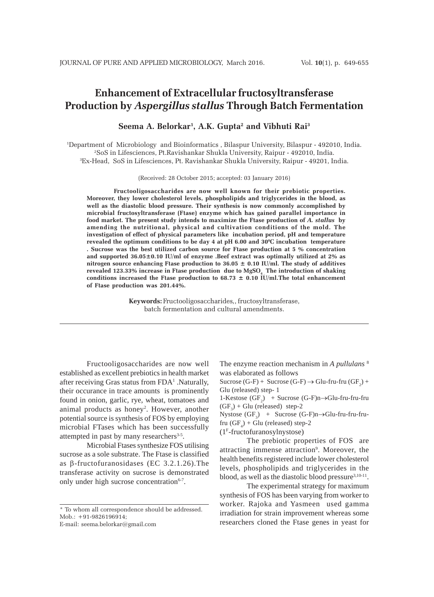# **Enhancement of Extracellular fructosyltransferase Production by** *Aspergillus stallus* **Through Batch Fermentation**

**Seema A. Belorkar1 , A.K. Gupta2 and Vibhuti Rai3**

1 Department of Microbiology and Bioinformatics , Bilaspur University, Bilaspur - 492010, India. 2 SoS in Lifesciences, Pt.Ravishankar Shukla University, Raipur - 492010, India. 3 Ex-Head, SoS in Lifesciences, Pt. Ravishankar Shukla University, Raipur - 49201, India.

(Received: 28 October 2015; accepted: 03 January 2016)

**Fructooligosaccharides are now well known for their prebiotic properties. Moreover, they lower cholesterol levels, phospholipids and triglycerides in the blood, as well as the diastolic blood pressure. Their synthesis is now commonly accomplished by microbial fructosyltransferase (Ftase) enzyme which has gained parallel importance in food market. The present study intends to maximize the Ftase production of** *A. stallus* **by amending the nutritional, physical and cultivation conditions of the mold. The investigation of effect of physical parameters like incubation period, pH and temperature** revealed the optimum conditions to be day 4 at pH 6.00 and 30°C incubation temperature **. Sucrose was the best utilized carbon source for Ftase production at 5 % concentration and supported 36.05±0.10 IU/ml of enzyme .Beef extract was optimally utilized at 2% as nitrogen source enhancing Ftase production to 36.05 ± 0.10 IU/ml. The study of additives** revealed 123.33% increase in Ftase production due to MgSO<sub>4</sub> The introduction of shaking conditions increased the Ftase production to  $68.73 \pm 0.10$  IU/ml. The total enhancement **of Ftase production was 201.44%.**

> **Keywords:** Fructooligosaccharides*,*, fructosyltransferase, batch fermentation and cultural amendments.

Fructooligosaccharides are now well established as excellent prebiotics in health market after receiving Gras status from FDA<sup>1</sup> .Naturally, their occurance in trace amounts is prominently found in onion, garlic, rye, wheat, tomatoes and animal products as honey<sup>2</sup>. However, another potential source is synthesis of FOS by employing microbial FTases which has been successfully attempted in past by many researchers $3-5$ .

Microbial Ftases synthesize FOS utilising sucrose as a sole substrate. The Ftase is classified as β-fructofuranosidases (EC 3.2.1.26).The transferase activity on sucrose is demonstrated only under high sucrose concentration<sup>6-7</sup>.

The enzyme reaction mechanism in *A pullulans* <sup>8</sup> was elaborated as follows

Sucrose (G-F) + Sucrose (G-F)  $\rightarrow$  Glu-fru-fru (GF<sub>2</sub>) + Glu (released) step- 1

1-Kestose ( $GF_2$ ) + Sucrose (G-F)n→Glu-fru-fru-fru  $(GF_3)$  + Glu (released) step-2

Nystose  $(GF_3)$  + Sucrose  $(G-F)n \rightarrow Glu$ -fru-fru-frufru  $(GF_4)$  + Glu (released) step-2

(1F-fructofuranosylnystose)

The prebiotic properties of FOS are attracting immense attraction<sup>9</sup>. Moreover, the health benefits registered include lower cholesterol levels, phospholipids and triglycerides in the blood, as well as the diastolic blood pressure<sup>3,10-11</sup>.

The experimental strategy for maximum synthesis of FOS has been varying from worker to worker. Rajoka and Yasmeen used gamma irradiation for strain improvement whereas some researchers cloned the Ftase genes in yeast for

<sup>\*</sup> To whom all correspondence should be addressed. Mob.: +91-9826196914;

E-mail: seema.belorkar@gmail.com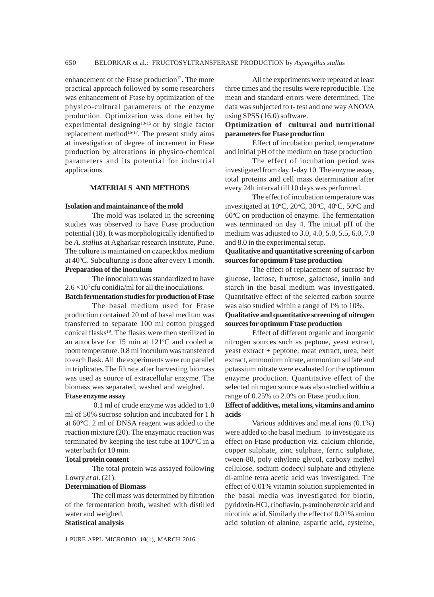enhancement of the Ftase production $12$ . The more practical approach followed by some researchers was enhancement of Ftase by optimization of the physico-cultural parameters of the enzyme production. Optimization was done either by experimental designing<sup>13-15</sup> or by single factor replacement method $16-17$ . The present study aims at investigation of degree of increment in Ftase production by alterations in physico-chemical parameters and its potential for industrial applications.

# **MATERIALS AND METHODS**

#### **Isolation and maintainance of the mold**

The mold was isolated in the screening studies was observed to have Ftase production potential (18). It was morphologically identified to be *A. stallus* at Agharkar research institute, Pune. The culture is maintained on czapeckdox medium at 40<sup>o</sup>C. Subculturing is done after every 1 month. **Preparation of the inoculum**

The innoculum was standardized to have  $2.6 \times 10^6$  cfu conidia/ml for all the inoculations.

**Batch fermentation studies for production of Ftase**

The basal medium used for Ftase production contained 20 ml of basal medium was transferred to separate 100 ml cotton plugged conical flasks<sup>19</sup>. The flasks were then sterilized in an autoclave for  $15$  min at  $121^{\circ}$ C and cooled at room temperature. 0.8 ml inoculum was transferred to each flask. All the experiments were run parallel in triplicates.The filtrate after harvesting biomass was used as source of extracellular enzyme. The biomass was separated, washed and weighed.

### **Ftase enzyme assay**

0.1 ml of crude enzyme was added to 1.0 ml of 50% sucrose solution and incubated for 1 h at 60°C. 2 ml of DNSA reagent was added to the reaction mixture (20). The enzymatic reaction was terminated by keeping the test tube at 100°C in a water bath for 10 min.

### **Total protein content**

The total protein was assayed following Lowry *et al.* (21).

### **Determination of Biomass**

The cell mass was determined by filtration of the fermentation broth, washed with distilled water and weighed.

# **Statistical analysis**

J PURE APPL MICROBIO*,* **10**(1), MARCH 2016.

All the experiments were repeated at least three times and the results were reproducible. The mean and standard errors were determined. The data was subjected to t- test and one way ANOVA using SPSS (16.0) software.

# **Optimization of cultural and nutritional parameters for Ftase production**

Effect of incubation period, temperature and initial pH of the medium on ftase production

The effect of incubation period was investigated from day 1-day 10. The enzyme assay, total proteins and cell mass determination after every 24h interval till 10 days was performed.

The effect of incubation temperature was investigated at 10°C, 20°C, 30°C, 40°C, 50°C and 60°C on production of enzyme. The fermentation was terminated on day 4. The initial pH of the medium was adjusted to 3.0, 4.0, 5.0, 5.5, 6.0, 7.0 and 8.0 in the experimental setup.

### **Qualitative and quantitative screening of carbon sources for optimum Ftase production**

The effect of replacement of sucrose by glucose, lactose, fructose, galactose, inulin and starch in the basal medium was investigated. Quantitative effect of the selected carbon source was also studied within a range of 1% to 10%.

# **Qualitative and quantitative screening of nitrogen sources for optimum Ftase production**

Effect of different organic and inorganic nitrogen sources such as peptone, yeast extract, yeast extract + peptone, meat extract, urea, beef extract, ammonium nitrate, ammonium sulfate and potassium nitrate were evaluated for the optimum enzyme production. Quantitative effect of the selected nitrogen source was also studied within a range of 0.25% to 2.0% on Ftase production.

### **Effect of additives, metal ions, vitamins and amino acids**

Various additives and metal ions (0.1%) were added to the basal medium to investigate its effect on Ftase production viz. calcium chloride, copper sulphate, zinc sulphate, ferric sulphate, tween-80, poly ethylene glycol, carboxy methyl cellulose, sodium dodecyl sulphate and ethylene di-amine tetra acetic acid was investigated. The effect of 0.01% vitamin solution supplemented in the basal media was investigated for biotin, pyridoxin-HCl, riboflavin, p-aminobenzoic acid and nicotinic acid. Similarly the effect of 0.01% amino acid solution of alanine, aspartic acid, cysteine,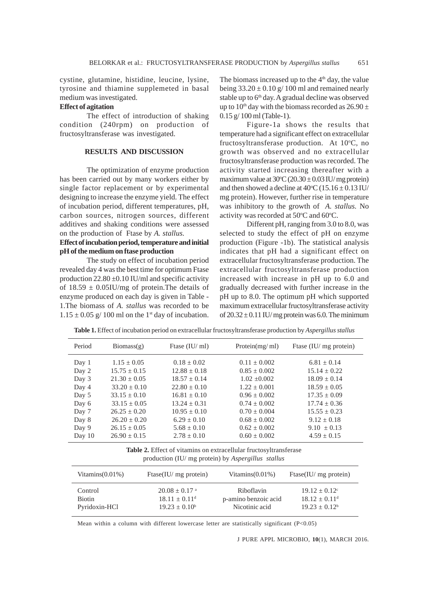cystine, glutamine, histidine, leucine, lysine, tyrosine and thiamine supplemeted in basal medium was investigated.

# **Effect of agitation**

The effect of introduction of shaking condition (240rpm) on production of fructosyltransferase was investigated.

#### **RESULTS AND DISCUSSION**

The optimization of enzyme production has been carried out by many workers either by single factor replacement or by experimental designing to increase the enzyme yield. The effect of incubation period, different temperatures, pH, carbon sources, nitrogen sources, different additives and shaking conditions were assessed on the production of Ftase by *A. stallus.*

# **Effect of incubation period, temperature and initial pH of the medium on ftase production**

The study on effect of incubation period revealed day 4 was the best time for optimum Ftase production  $22.80 \pm 0.10$  IU/ml and specific activity of  $18.59 \pm 0.05$ IU/mg of protein. The details of enzyme produced on each day is given in Table - 1.The biomass of *A. stallus* was recorded to be  $1.15 \pm 0.05$  g/ 100 ml on the 1<sup>st</sup> day of incubation.

The biomass increased up to the  $4<sup>th</sup>$  day, the value being  $33.20 \pm 0.10$  g/ 100 ml and remained nearly stable up to 6<sup>th</sup> day. A gradual decline was observed up to 10<sup>th</sup> day with the biomass recorded as  $26.90 \pm$ 0.15 g/ 100 ml (Table-1).

Figure-1a shows the results that temperature had a significant effect on extracellular fructosyltransferase production. At 10°C, no growth was observed and no extracellular fructosyltransferase production was recorded. The activity started increasing thereafter with a maximum value at  $30^{\circ}$ C (20.30  $\pm$  0.03 IU/ mg protein) and then showed a decline at  $40^{\circ}$ C (15.16  $\pm$  0.13 IU/ mg protein). However, further rise in temperature was inhibitory to the growth of *A. stallus.* No activity was recorded at  $50^{\circ}$ C and  $60^{\circ}$ C.

Different pH, ranging from 3.0 to 8.0, was selected to study the effect of pH on enzyme production (Figure -1b). The statistical analysis indicates that pH had a significant effect on extracellular fructosyltransferase production. The extracellular fructosyltransferase production increased with increase in pH up to 6.0 and gradually decreased with further increase in the pH up to 8.0. The optimum pH which supported maximum extracellular fructosyltransferase activity of  $20.32 \pm 0.11$  IU/ mg protein was 6.0. The minimum

| Period   | $\text{Biomass}(\mathbf{g})$ | Frase $(IU/ml)$  | Protein $(mg/ml)$ | Ftase (IU/ mg protein) |
|----------|------------------------------|------------------|-------------------|------------------------|
| Day 1    | $1.15 \pm 0.05$              | $0.18 \pm 0.02$  | $0.11 + 0.002$    | $6.81 \pm 0.14$        |
| Day 2    | $15.75 + 0.15$               | $12.88 + 0.18$   | $0.85 + 0.002$    | $15.14 + 0.22$         |
| Day 3    | $21.30 + 0.05$               | $18.57 \pm 0.14$ | $1.02 + 0.002$    | $18.09 + 0.14$         |
| Day 4    | $33.20 + 0.10$               | $22.80 + 0.10$   | $1.22 + 0.001$    | $18.59 + 0.05$         |
| Day 5    | $33.15 \pm 0.10$             | $16.81 + 0.10$   | $0.96 + 0.002$    | $17.35 \pm 0.09$       |
| Day 6    | $33.15 + 0.05$               | $13.24 \pm 0.31$ | $0.74 + 0.002$    | $17.74 + 0.36$         |
| Day 7    | $26.25 + 0.20$               | $10.95 + 0.10$   | $0.70 + 0.004$    | $15.55 + 0.23$         |
| Day 8    | $26.20 + 0.20$               | $6.29 + 0.10$    | $0.68 + 0.002$    | $9.12 \pm 0.18$        |
| Day 9    | $26.15 \pm 0.05$             | $5.68 + 0.10$    | $0.62 + 0.002$    | $9.10 + 0.13$          |
| Day $10$ | $26.90 + 0.15$               | $2.78 \pm 0.10$  | $0.60 \pm 0.002$  | $4.59 \pm 0.15$        |

**Table 1.** Effect of incubation period on extracellular fructosyltransferase production by *Aspergillus stallus*

**Table 2.** Effect of vitamins on extracellular fructosyltransferase production (IU/ mg protein) by *Aspergillus stallus*

| Vitamins $(0.01\%)$ | Ftase(IU/ $mg$ protein)     | Vitamins $(0.01\%)$  | Ftase(IU/ $mg$ protein) |
|---------------------|-----------------------------|----------------------|-------------------------|
| Control             | $20.08 + 0.17$ <sup>a</sup> | Riboflavin           | $19.12 + 0.12^{\circ}$  |
| <b>Biotin</b>       | $18.11 + 0.11^d$            | p-amino benzoic acid | $18.12 + 0.11^d$        |
| Pyridoxin-HCl       | $19.23 \pm 0.10^b$          | Nicotinic acid       | $19.23 + 0.12^b$        |

Mean within a column with different lowercase letter are statistically significant (P<0.05)

J PURE APPL MICROBIO*,* **10**(1), MARCH 2016.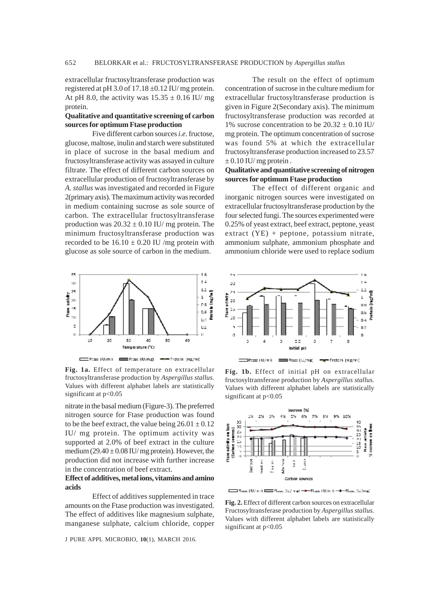extracellular fructosyltransferase production was registered at pH 3.0 of  $17.18 \pm 0.12$  IU/ mg protein. At pH 8.0, the activity was  $15.35 \pm 0.16$  IU/ mg protein.

# **Qualitative and quantitative screening of carbon sources for optimum Ftase production**

Five different carbon sources *i.e*. fructose, glucose, maltose, inulin and starch were substituted in place of sucrose in the basal medium and fructosyltransferase activity was assayed in culture filtrate. The effect of different carbon sources on extracellular production of fructosyltransferase by *A. stallus* was investigated and recorded in Figure 2(primary axis). The maximum activity was recorded in medium containing sucrose as sole source of carbon. The extracellular fructosyltransferase production was  $20.32 \pm 0.10$  IU/ mg protein. The minimum fructosyltransferase production was recorded to be  $16.10 \pm 0.20$  IU /mg protein with glucose as sole source of carbon in the medium.



**Fig. 1a.** Effect of temperature on extracellular fructosyltransferase production by *Aspergillus stallus.* Values with different alphabet labels are statistically significant at  $p<0.05$ 

nitrate in the basal medium (Figure-3). The preferred nitrogen source for Ftase production was found to be the beef extract, the value being  $26.01 \pm 0.12$ IU/ mg protein. The optimum activity was supported at 2.0% of beef extract in the culture medium  $(29.40 \pm 0.08 \text{ IU/mg protein})$ . However, the production did not increase with further increase in the concentration of beef extract.

### **Effect of additives, metal ions, vitamins and amino acids**

Effect of additives supplemented in trace amounts on the Ftase production was investigated. The effect of additives like magnesium sulphate, manganese sulphate, calcium chloride, copper

J PURE APPL MICROBIO*,* **10**(1), MARCH 2016.

The result on the effect of optimum concentration of sucrose in the culture medium for extracellular fructosyltransferase production is given in Figure 2(Secondary axis). The minimum fructosyltransferase production was recorded at 1% sucrose concentration to be  $20.32 \pm 0.10$  IU/ mg protein. The optimum concentration of sucrose was found 5% at which the extracellular fructosyltransferase production increased to 23.57  $\pm$  0.10 IU/ mg protein.

# **Qualitative and quantitative screening of nitrogen sources for optimum Ftase production**

The effect of different organic and inorganic nitrogen sources were investigated on extracellular fructosyltransferase production by the four selected fungi. The sources experimented were 0.25% of yeast extract, beef extract, peptone, yeast extract (YE) + peptone, potassium nitrate, ammonium sulphate, ammonium phosphate and ammonium chloride were used to replace sodium



**Fig. 1b.** Effect of initial pH on extracellular fructosyltransferase production by *Aspergillus stallus.* Values with different alphabet labels are statistically significant at  $p<0.05$ 



Flase (U/mi) EEE Flase (U/mg) - F-Flase (U/mi) - F-Flase (U/mg)

**Fig. 2.** Effect of different carbon sources on extracellular Fructosyltransferase production by *Aspergillus stallus.* Values with different alphabet labels are statistically significant at  $p<0.05$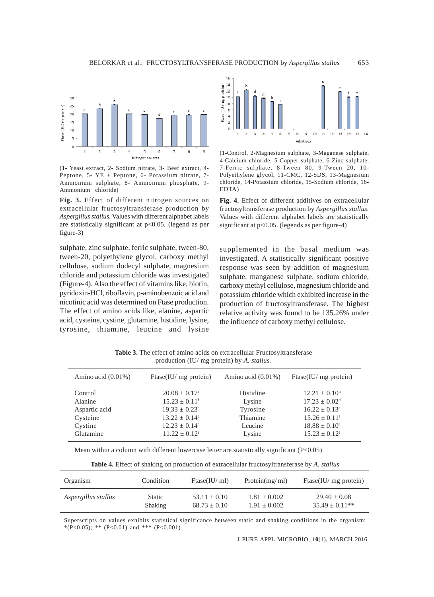

(1- Yeast extract, 2- Sodium nitrate, 3- Beef extract, 4- Peptone, 5- YE + Peptone, 6- Potassium nitrate, 7- Ammonium sulphate, 8- Ammonium phosphate, 9- Ammonium chloride)

**Fig. 3.** Effect of different nitrogen sources on extracellular fructosyltransferase production by *Aspergillus stallus.* Values with different alphabet labels are statistically significant at p<0.05. (legend as per figure-3)

sulphate, zinc sulphate, ferric sulphate, tween-80, tween-20, polyethylene glycol, carboxy methyl cellulose, sodium dodecyl sulphate, magnesium chloride and potassium chloride was investigated (Figure-4). Also the effect of vitamins like, biotin, pyridoxin-HCl, riboflavin, p-aminobenzoic acid and nicotinic acid was determined on Ftase production. The effect of amino acids like, alanine, aspartic acid, cysteine, cystine, glutamine, histidine, lysine, tyrosine, thiamine, leucine and lysine



(1-Control, 2-Magnesium sulphate, 3-Maganese sulphate, 4-Calcium chloride, 5-Copper sulphate, 6-Zinc sulphate, 7-Ferric sulphate, 8-Tween 80, 9-Tween 20, 10- Polyethylene glycol, 11-CMC, 12-SDS, 13-Magnesium chloride, 14-Potassium chloride, 15-Sodium chloride, 16- EDTA)

**Fig. 4.** Effect of different additives on extracellular fructosyltransferase production by *Aspergillus stallus.* Values with different alphabet labels are statistically significant at p<0.05. (legends as per figure-4)

supplemented in the basal medium was investigated. A statistically significant positive response was seen by addition of magnesium sulphate, manganese sulphate, sodium chloride, carboxy methyl cellulose, magnesium chloride and potassium chloride which exhibited increase in the production of fructosyltransferase. The highest relative activity was found to be 135.26% under the influence of carboxy methyl cellulose.

**Table 3.** The effect of amino acids on extracellular Fructosyltransferase production (IU/ mg protein) by *A. stallus.*

| Amino acid $(0.01\%)$ | Ftase(IU/ mg protein)         | Amino acid $(0.01\%)$ | Ftase(IU/ $mg$ protein)       |
|-----------------------|-------------------------------|-----------------------|-------------------------------|
| Control               | $20.08 \pm 0.17^{\circ}$      | Histidine             | $12.21 + 0.10h$               |
| Alanine               | $15.23 \pm 0.11$ <sup>f</sup> | Lysine                | $17.23 \pm 0.02^{\text{d}}$   |
| Aspartic acid         | $19.33 + 0.23^b$              | Tyrosine              | $16.22 + 0.13^e$              |
| Cysteine              | $13.22 + 0.14$ <sup>g</sup>   | Thiamine              | $15.26 \pm 0.11$ <sup>f</sup> |
| Cystine               | $12.23 + 0.14h$               | Leucine               | $18.88 \pm 0.10^{\circ}$      |
| Glutamine             | $11.22 + 0.12^i$              | Lysine                | $15.23 + 0.12$ <sup>f</sup>   |

Mean within a column with different lowercase letter are statistically significant (P<0.05)

**Table 4.** Effect of shaking on production of extracellular fructosyltransferase by *A. stallus*

| Organism            | Condition     | $\text{Ftase(IU/ml)}$ | Protein $(mg/ml)$ | Ftase(IU/ $mg$ protein) |
|---------------------|---------------|-----------------------|-------------------|-------------------------|
| Aspergillus stallus | <b>Static</b> | $53.11 \pm 0.10$      | $1.81 \pm 0.002$  | $29.40 + 0.08$          |
|                     | Shaking       | $68.73 \pm 0.10$      | $1.91 + 0.002$    | $35.49 + 0.11**$        |

Superscripts on values exhibits statistical significance between static and shaking conditions in the organism: \*(P<0.05); \*\* (P<0.01) and \*\*\* (P<0.001)

J PURE APPL MICROBIO*,* **10**(1), MARCH 2016.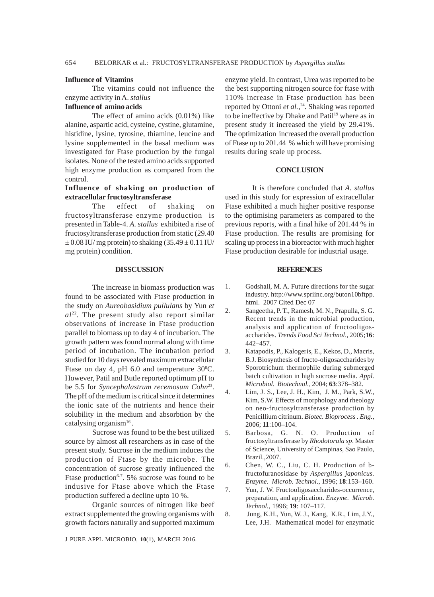### **Influence of Vitamins**

The vitamins could not influence the enzyme activity in A. *stallus*

# **Influence of amino acids**

The effect of amino acids (0.01%) like alanine, aspartic acid, cysteine, cystine, glutamine, histidine, lysine, tyrosine, thiamine, leucine and lysine supplemented in the basal medium was investigated for Ftase production by the fungal isolates. None of the tested amino acids supported high enzyme production as compared from the control.

# **Influence of shaking on production of extracellular fructosyltransferase**

The effect of shaking on fructosyltransferase enzyme production is presented in Table-4. *A. stallus* exhibited a rise of fructosyltransferase production from static (29.40  $\pm$  0.08 IU/ mg protein) to shaking (35.49  $\pm$  0.11 IU/ mg protein) condition.

### **DISSCUSSION**

The increase in biomass production was found to be associated with Ftase production in the study on *Aureobasidium pullulans* by Yun *et al*22. The present study also report similar observations of increase in Ftase production parallel to biomass up to day 4 of incubation. The growth pattern was found normal along with time period of incubation. The incubation period studied for 10 days revealed maximum extracellular Ftase on day 4, pH 6.0 and temperature  $30^{\circ}$ C. However, Patil and Butle reported optimum pH to be 5.5 for *Syncephalastrum recemosum Cohn*<sup>23</sup>. The pH of the medium is critical since it determines the ionic sate of the nutrients and hence their solubility in the medium and absorbtion by the catalysing organism $16$ .

Sucrose was found to be the best utilized source by almost all researchers as in case of the present study. Sucrose in the medium induces the production of Ftase by the microbe. The concentration of sucrose greatly influenced the Ftase production<sup> $6-7$ </sup>. 5% sucrose was found to be indusive for Ftase above which the Ftase production suffered a decline upto 10 %.

Organic sources of nitrogen like beef extract supplemented the growing organisms with growth factors naturally and supported maximum

J PURE APPL MICROBIO*,* **10**(1), MARCH 2016.

enzyme yield. In contrast, Urea was reported to be the best supporting nitrogen source for ftase with 110% increase in Ftase production has been reported by Ottoni et al.,<sup>24</sup>. Shaking was reported to be ineffective by Dhake and Patil<sup>19</sup> where as in present study it increased the yield by 29.41%. The optimization increased the overall production of Ftase up to 201.44 % which will have promising results during scale up process.

# **CONCLUSION**

It is therefore concluded that *A. stallus* used in this study for expression of extracellular Ftase exhibited a much higher positive response to the optimising parameters as compared to the previous reports, with a final hike of 201.44 % in Ftase production. The results are promising for scaling up process in a bioreactor with much higher Ftase production desirable for industrial usage.

### **REFERENCES**

- 1. Godshall, M. A. Future directions for the sugar industry. http://www.spriinc.org/buton10bftpp. html. 2007 Cited Dec 07
- 2. Sangeetha, P. T., Ramesh, M. N., Prapulla, S. G. Recent trends in the microbial production, analysis and application of fructooligosaccharides. *Trends Food Sci Technol*., 2005;**16**: 442–457.
- 3. Katapodis, P., Kalogeris, E., Kekos, D., Macris, B.J. Biosynthesis of fructo-oligosaccharides by Sporotrichum thermophile during submerged batch cultivation in high sucrose media. *Appl. Microbiol. Biotechnol.,* 2004; **63**:378–382.
- 4. Lim, J. S., Lee, J. H., Kim, J. M., Park, S.W., Kim, S.W. Effects of morphology and rheology on neo-fructosyltransferase production by Penicillium citrinum. *Biotec. Bioprocess . Eng.,* 2006; **11**:100–104.
- 5. Barbosa, G. N. O. Production of fructosyltransferase by *Rhodotorula sp*. Master of Science, University of Campinas, Sao Paulo, Brazil.,2007.
- 6. Chen, W. C., Liu, C. H. Production of bfructofuranosidase by *Aspergillus japonicus. Enzyme. Microb. Technol*., 1996; **18**:153–160.
- 7. Yun, J. W. Fructooligosaccharides-occurrence, preparation, and application. *Enzyme. Microb. Technol.,* 1996; **19**: 107–117.
- 8. Jung, K.H., Yun, W. J., Kang, K.R., Lim, J.Y., Lee, J.H. Mathematical model for enzymatic